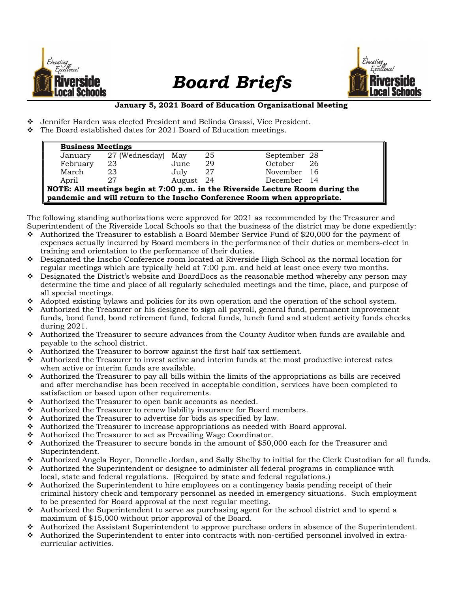

## Board Briefs



## January 5, 2021 Board of Education Organizational Meeting

- Jennifer Harden was elected President and Belinda Grassi, Vice President.
- $\cdot \cdot$  The Board established dates for 2021 Board of Education meetings.

| <b>Business Meetings</b>                                                       |                |           |    |               |
|--------------------------------------------------------------------------------|----------------|-----------|----|---------------|
| January                                                                        | 27 (Wednesday) | May       | 25 | September 28  |
| February                                                                       | 23             | June      | 29 | October<br>26 |
| March                                                                          | 23             | July      | 27 | November 16   |
| April                                                                          | 27             | August 24 |    | December 14   |
| NOTE: All meetings begin at 7:00 p.m. in the Riverside Lecture Room during the |                |           |    |               |
| pandemic and will return to the Inscho Conference Room when appropriate.       |                |           |    |               |

The following standing authorizations were approved for 2021 as recommended by the Treasurer and Superintendent of the Riverside Local Schools so that the business of the district may be done expediently:

- $\cdot$  Authorized the Treasurer to establish a Board Member Service Fund of \$20,000 for the payment of expenses actually incurred by Board members in the performance of their duties or members-elect in training and orientation to the performance of their duties.
- Designated the Inscho Conference room located at Riverside High School as the normal location for regular meetings which are typically held at 7:00 p.m. and held at least once every two months.
- $\bullet$  Designated the District's website and BoardDocs as the reasonable method whereby any person may determine the time and place of all regularly scheduled meetings and the time, place, and purpose of all special meetings.
- Adopted existing by laws and policies for its own operation and the operation of the school system.
- $\triangle$  Authorized the Treasurer or his designee to sign all payroll, general fund, permanent improvement funds, bond fund, bond retirement fund, federal funds, lunch fund and student activity funds checks during 2021.
- $\bullet$  Authorized the Treasurer to secure advances from the County Auditor when funds are available and payable to the school district.
- Authorized the Treasurer to borrow against the first half tax settlement.
- $\bullet$  Authorized the Treasurer to invest active and interim funds at the most productive interest rates when active or interim funds are available.
- $\div$  Authorized the Treasurer to pay all bills within the limits of the appropriations as bills are received and after merchandise has been received in acceptable condition, services have been completed to satisfaction or based upon other requirements.
- Authorized the Treasurer to open bank accounts as needed.
- Authorized the Treasurer to renew liability insurance for Board members.
- $\triangle$  Authorized the Treasurer to advertise for bids as specified by law.
- $\triangle$  Authorized the Treasurer to increase appropriations as needed with Board approval.
- ◆ Authorized the Treasurer to act as Prevailing Wage Coordinator.
- $\div$  Authorized the Treasurer to secure bonds in the amount of \$50,000 each for the Treasurer and Superintendent.
- Authorized Angela Boyer, Donnelle Jordan, and Sally Shelby to initial for the Clerk Custodian for all funds.
- $\triangle$  Authorized the Superintendent or designee to administer all federal programs in compliance with local, state and federal regulations. (Required by state and federal regulations.)
- $\triangle$  Authorized the Superintendent to hire employees on a contingency basis pending receipt of their criminal history check and temporary personnel as needed in emergency situations. Such employment to be presented for Board approval at the next regular meeting.
- $\bullet$  Authorized the Superintendent to serve as purchasing agent for the school district and to spend a maximum of \$15,000 without prior approval of the Board.
- Authorized the Assistant Superintendent to approve purchase orders in absence of the Superintendent.
- Authorized the Superintendent to enter into contracts with non-certified personnel involved in extracurricular activities.